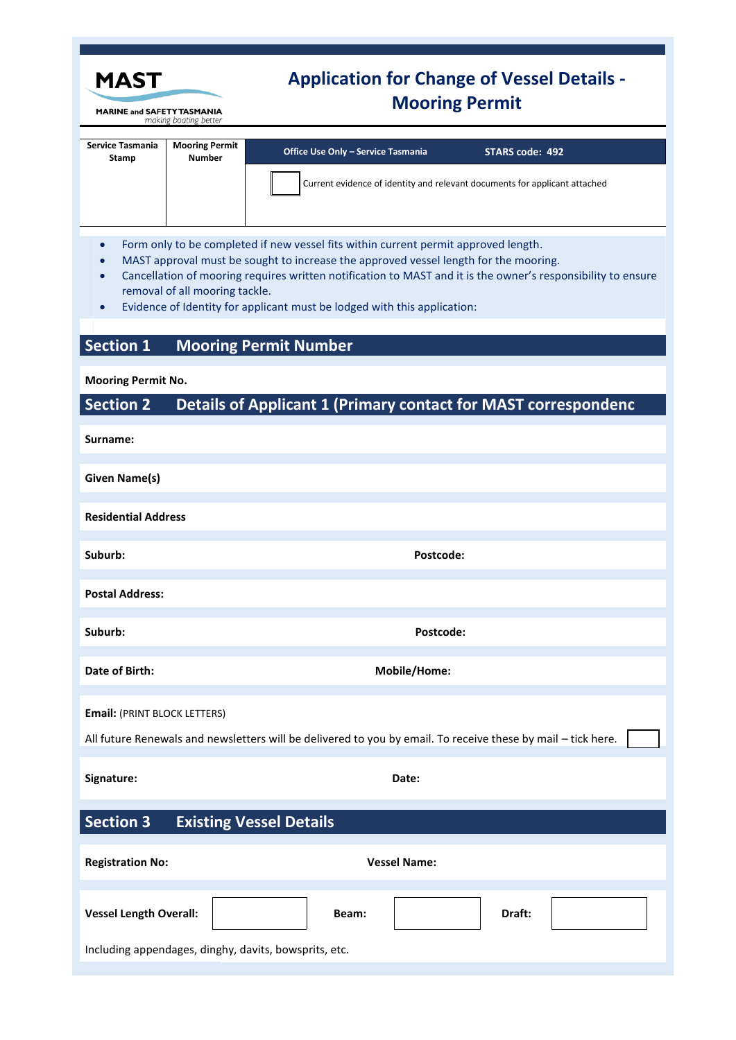| <b>MAST</b>                                                                                                                                                                                                                                                                                                                                                                                                            |                                        | <b>Application for Change of Vessel Details -</b><br><b>Mooring Permit</b>                                                                        |  |
|------------------------------------------------------------------------------------------------------------------------------------------------------------------------------------------------------------------------------------------------------------------------------------------------------------------------------------------------------------------------------------------------------------------------|----------------------------------------|---------------------------------------------------------------------------------------------------------------------------------------------------|--|
| <b>MARINE and SAFETY TASMANIA</b><br>making boating better                                                                                                                                                                                                                                                                                                                                                             |                                        |                                                                                                                                                   |  |
| <b>Service Tasmania</b><br>Stamp                                                                                                                                                                                                                                                                                                                                                                                       | <b>Mooring Permit</b><br><b>Number</b> | <b>Office Use Only - Service Tasmania</b><br><b>STARS code: 492</b><br>Current evidence of identity and relevant documents for applicant attached |  |
| Form only to be completed if new vessel fits within current permit approved length.<br>$\bullet$<br>MAST approval must be sought to increase the approved vessel length for the mooring.<br>Cancellation of mooring requires written notification to MAST and it is the owner's responsibility to ensure<br>removal of all mooring tackle.<br>Evidence of Identity for applicant must be lodged with this application: |                                        |                                                                                                                                                   |  |
| <b>Section 1</b>                                                                                                                                                                                                                                                                                                                                                                                                       |                                        | <b>Mooring Permit Number</b>                                                                                                                      |  |
| <b>Mooring Permit No.</b>                                                                                                                                                                                                                                                                                                                                                                                              |                                        |                                                                                                                                                   |  |
| <b>Section 2</b>                                                                                                                                                                                                                                                                                                                                                                                                       |                                        | Details of Applicant 1 (Primary contact for MAST correspondenc                                                                                    |  |
| Surname:                                                                                                                                                                                                                                                                                                                                                                                                               |                                        |                                                                                                                                                   |  |
| <b>Given Name(s)</b>                                                                                                                                                                                                                                                                                                                                                                                                   |                                        |                                                                                                                                                   |  |
| <b>Residential Address</b>                                                                                                                                                                                                                                                                                                                                                                                             |                                        |                                                                                                                                                   |  |
| Suburb:                                                                                                                                                                                                                                                                                                                                                                                                                |                                        | Postcode:                                                                                                                                         |  |
| <b>Postal Address:</b>                                                                                                                                                                                                                                                                                                                                                                                                 |                                        |                                                                                                                                                   |  |
| Suburb:                                                                                                                                                                                                                                                                                                                                                                                                                |                                        | Postcode:                                                                                                                                         |  |
| Date of Birth:                                                                                                                                                                                                                                                                                                                                                                                                         |                                        | Mobile/Home:                                                                                                                                      |  |
| <b>Email: (PRINT BLOCK LETTERS)</b><br>All future Renewals and newsletters will be delivered to you by email. To receive these by mail - tick here.                                                                                                                                                                                                                                                                    |                                        |                                                                                                                                                   |  |
| Signature:                                                                                                                                                                                                                                                                                                                                                                                                             |                                        | Date:                                                                                                                                             |  |
| <b>Section 3</b><br><b>Existing Vessel Details</b>                                                                                                                                                                                                                                                                                                                                                                     |                                        |                                                                                                                                                   |  |
| <b>Registration No:</b>                                                                                                                                                                                                                                                                                                                                                                                                |                                        | <b>Vessel Name:</b>                                                                                                                               |  |
| <b>Vessel Length Overall:</b>                                                                                                                                                                                                                                                                                                                                                                                          |                                        | Draft:<br>Beam:                                                                                                                                   |  |
| Including appendages, dinghy, davits, bowsprits, etc.                                                                                                                                                                                                                                                                                                                                                                  |                                        |                                                                                                                                                   |  |